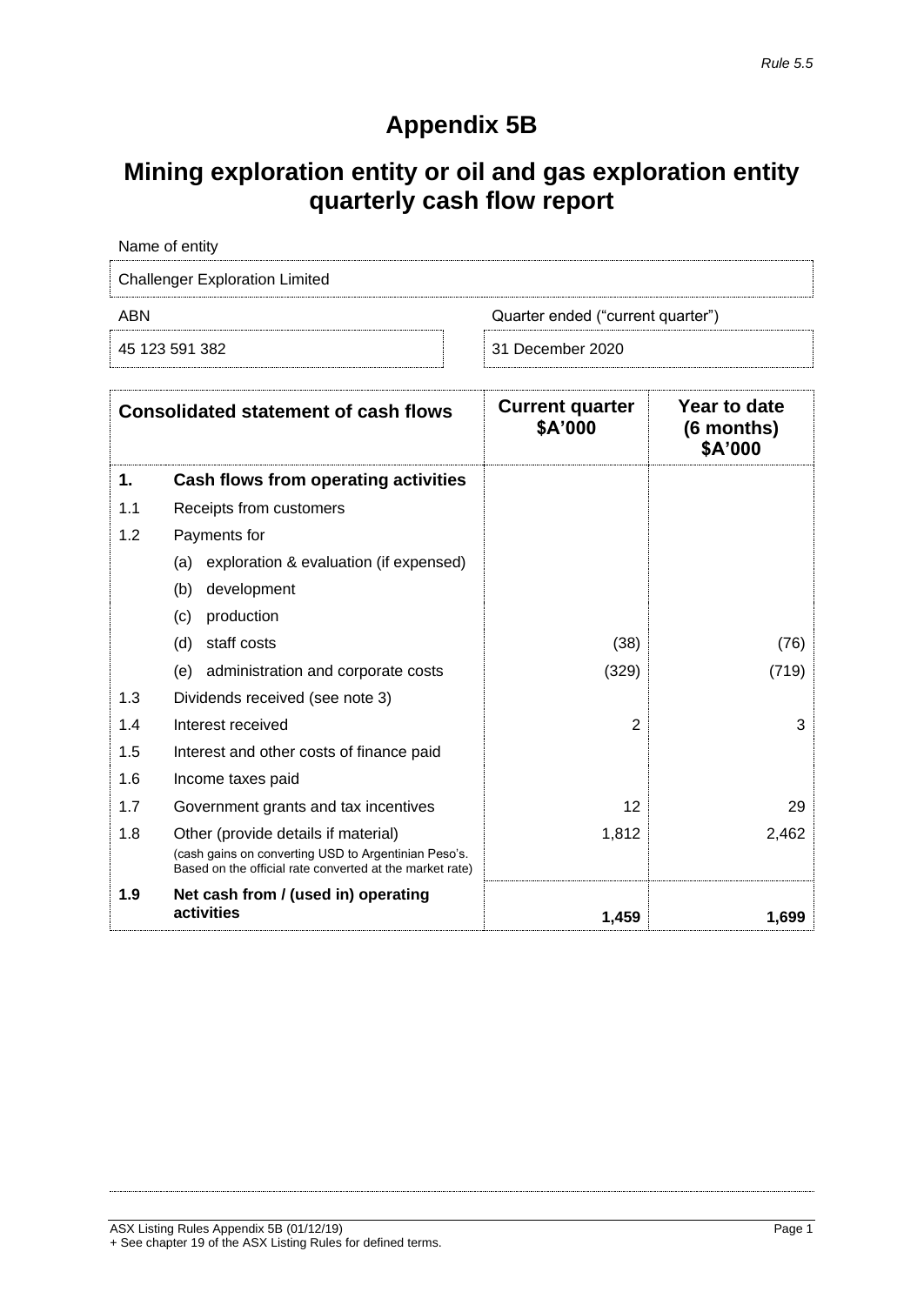## **Appendix 5B**

## **Mining exploration entity or oil and gas exploration entity quarterly cash flow report**

| Name of entity                        |                                   |
|---------------------------------------|-----------------------------------|
| <b>Challenger Exploration Limited</b> |                                   |
| ABN                                   | Quarter ended ("current quarter") |
| 45 123 591 382                        | 31 December 2020                  |

|     | <b>Consolidated statement of cash flows</b>                                                                      | <b>Current quarter</b><br>\$A'000 | Year to date<br>(6 months)<br>\$A'000 |
|-----|------------------------------------------------------------------------------------------------------------------|-----------------------------------|---------------------------------------|
| 1.  | Cash flows from operating activities                                                                             |                                   |                                       |
| 1.1 | Receipts from customers                                                                                          |                                   |                                       |
| 1.2 | Payments for                                                                                                     |                                   |                                       |
|     | exploration & evaluation (if expensed)<br>(a)                                                                    |                                   |                                       |
|     | (b)<br>development                                                                                               |                                   |                                       |
|     | production<br>(c)                                                                                                |                                   |                                       |
|     | (d)<br>staff costs                                                                                               | (38)                              | (76)                                  |
|     | administration and corporate costs<br>(e)                                                                        | (329)                             | (719)                                 |
| 1.3 | Dividends received (see note 3)                                                                                  |                                   |                                       |
| 1.4 | Interest received                                                                                                | $\overline{2}$                    | 3                                     |
| 1.5 | Interest and other costs of finance paid                                                                         |                                   |                                       |
| 1.6 | Income taxes paid                                                                                                |                                   |                                       |
| 1.7 | Government grants and tax incentives                                                                             | 12                                | 29                                    |
| 1.8 | Other (provide details if material)                                                                              | 1,812                             | 2,462                                 |
|     | (cash gains on converting USD to Argentinian Peso's.<br>Based on the official rate converted at the market rate) |                                   |                                       |
| 1.9 | Net cash from / (used in) operating<br>activities                                                                | 1,459                             | 1,699                                 |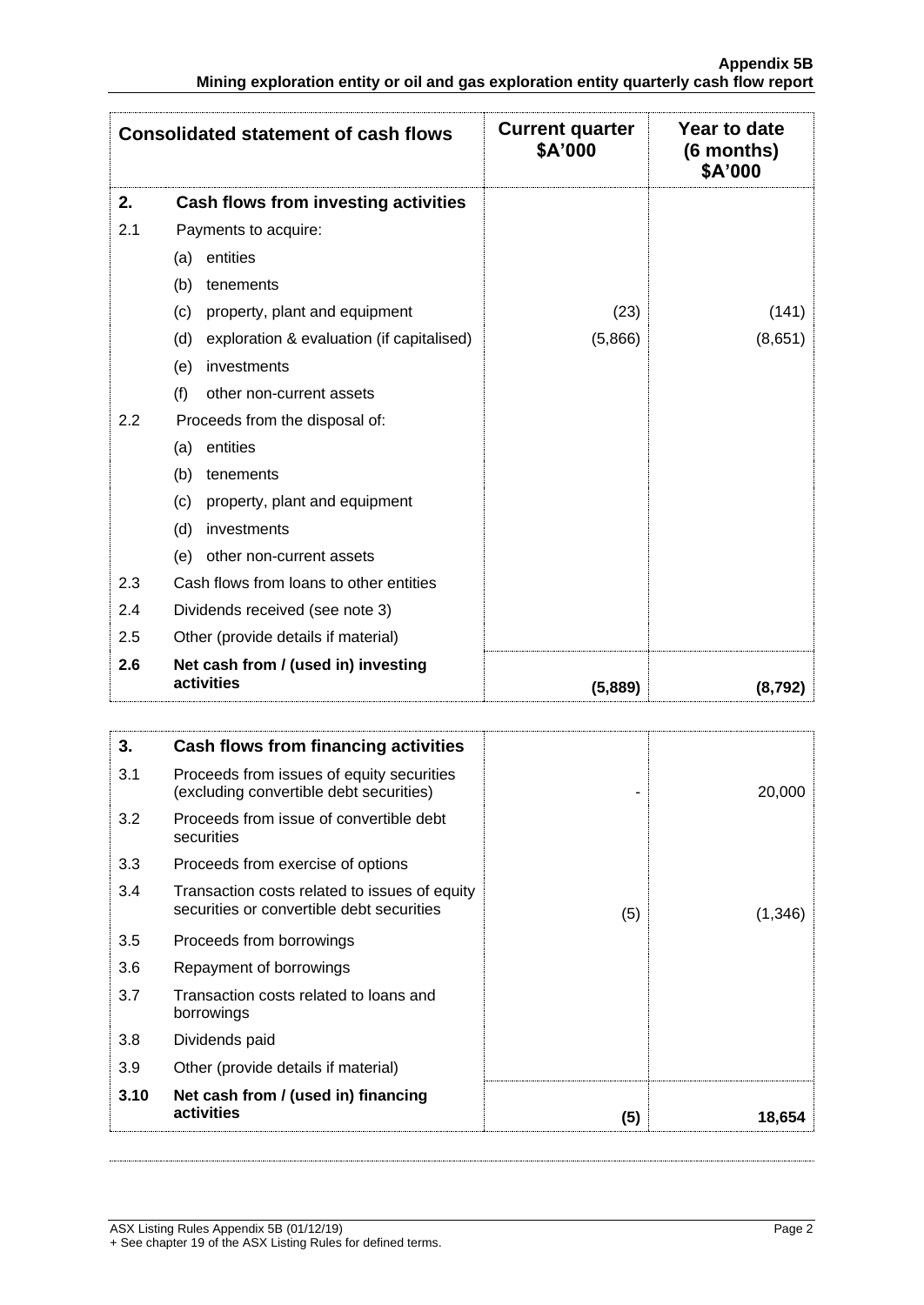|     | <b>Consolidated statement of cash flows</b>       | <b>Current quarter</b><br>\$A'000 | Year to date<br>(6 months)<br>\$A'000 |
|-----|---------------------------------------------------|-----------------------------------|---------------------------------------|
| 2.  | Cash flows from investing activities              |                                   |                                       |
| 2.1 | Payments to acquire:                              |                                   |                                       |
|     | entities<br>(a)                                   |                                   |                                       |
|     | (b)<br>tenements                                  |                                   |                                       |
|     | property, plant and equipment<br>(c)              | (23)                              | (141)                                 |
|     | exploration & evaluation (if capitalised)<br>(d)  | (5,866)                           | (8,651)                               |
|     | investments<br>(e)                                |                                   |                                       |
|     | (f)<br>other non-current assets                   |                                   |                                       |
| 2.2 | Proceeds from the disposal of:                    |                                   |                                       |
|     | entities<br>(a)                                   |                                   |                                       |
|     | (b)<br>tenements                                  |                                   |                                       |
|     | (c)<br>property, plant and equipment              |                                   |                                       |
|     | investments<br>(d)                                |                                   |                                       |
|     | other non-current assets<br>(e)                   |                                   |                                       |
| 2.3 | Cash flows from loans to other entities           |                                   |                                       |
| 2.4 | Dividends received (see note 3)                   |                                   |                                       |
| 2.5 | Other (provide details if material)               |                                   |                                       |
| 2.6 | Net cash from / (used in) investing<br>activities | (5,889)                           | (8,792)                               |

| 3.   | Cash flows from financing activities                                                       |     |         |
|------|--------------------------------------------------------------------------------------------|-----|---------|
| 3.1  | Proceeds from issues of equity securities<br>(excluding convertible debt securities)       |     | 20,000  |
| 3.2  | Proceeds from issue of convertible debt<br>securities                                      |     |         |
| 3.3  | Proceeds from exercise of options                                                          |     |         |
| 3.4  | Transaction costs related to issues of equity<br>securities or convertible debt securities | (5) | (1,346) |
| 3.5  | Proceeds from borrowings                                                                   |     |         |
| 3.6  | Repayment of borrowings                                                                    |     |         |
| 3.7  | Transaction costs related to loans and<br>borrowings                                       |     |         |
| 3.8  | Dividends paid                                                                             |     |         |
| 3.9  | Other (provide details if material)                                                        |     |         |
| 3.10 | Net cash from / (used in) financing<br>activities                                          | (5) | 18,654  |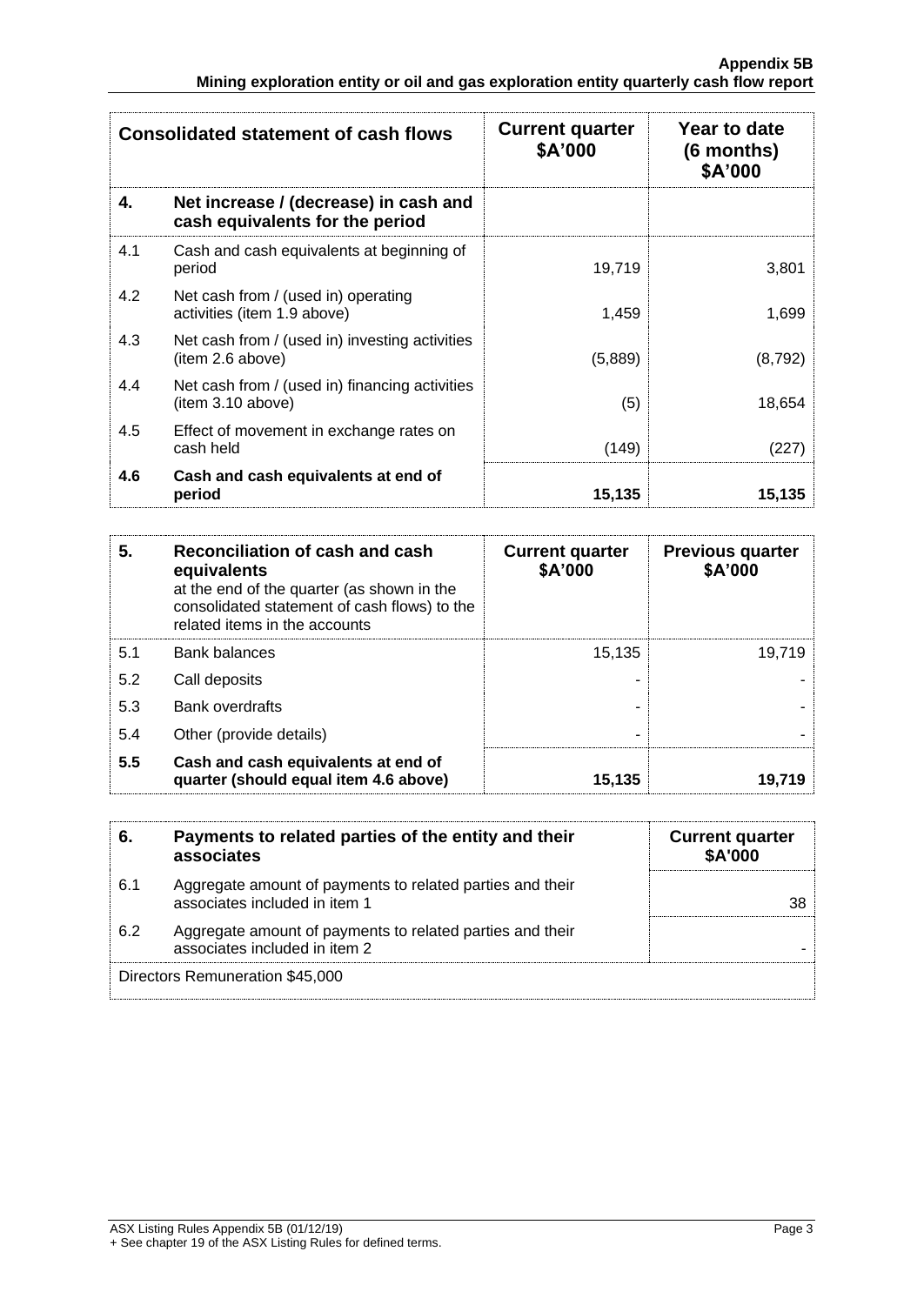|     | <b>Consolidated statement of cash flows</b>                              | <b>Current quarter</b><br>\$A'000 | Year to date<br>$(6$ months)<br>\$A'000 |
|-----|--------------------------------------------------------------------------|-----------------------------------|-----------------------------------------|
| 4.  | Net increase / (decrease) in cash and<br>cash equivalents for the period |                                   |                                         |
| 4.1 | Cash and cash equivalents at beginning of<br>period                      | 19,719                            | 3,801                                   |
| 4.2 | Net cash from / (used in) operating<br>activities (item 1.9 above)       | 1,459                             | 1,699                                   |
| 4.3 | Net cash from / (used in) investing activities<br>item 2.6 above)        | (5,889)                           | (8, 792)                                |
| 4.4 | Net cash from / (used in) financing activities<br>(item 3.10 above)      | (5)                               | 18,654                                  |
| 4.5 | Effect of movement in exchange rates on<br>cash held                     | (149)                             | (227)                                   |
| 4.6 | Cash and cash equivalents at end of<br>period                            | 15,135                            | 15,135                                  |

| 5.  | Reconciliation of cash and cash<br>equivalents<br>at the end of the quarter (as shown in the<br>consolidated statement of cash flows) to the<br>related items in the accounts | <b>Current quarter</b><br>\$A'000 | <b>Previous quarter</b><br>\$A'000 |
|-----|-------------------------------------------------------------------------------------------------------------------------------------------------------------------------------|-----------------------------------|------------------------------------|
| 5.1 | <b>Bank balances</b>                                                                                                                                                          | 15,135                            | 19,719                             |
| 5.2 | Call deposits                                                                                                                                                                 |                                   |                                    |
| 5.3 | <b>Bank overdrafts</b>                                                                                                                                                        |                                   |                                    |
| 5.4 | Other (provide details)                                                                                                                                                       | ۰                                 |                                    |
| 5.5 | Cash and cash equivalents at end of<br>quarter (should equal item 4.6 above)                                                                                                  | 15,135                            | 19,719                             |

| 6.  | Payments to related parties of the entity and their<br>associates                          | <b>Current quarter</b><br>\$A'000 |
|-----|--------------------------------------------------------------------------------------------|-----------------------------------|
| 6.1 | Aggregate amount of payments to related parties and their<br>associates included in item 1 | 38                                |
| 6.2 | Aggregate amount of payments to related parties and their<br>associates included in item 2 |                                   |
|     | Directors Remuneration \$45,000                                                            |                                   |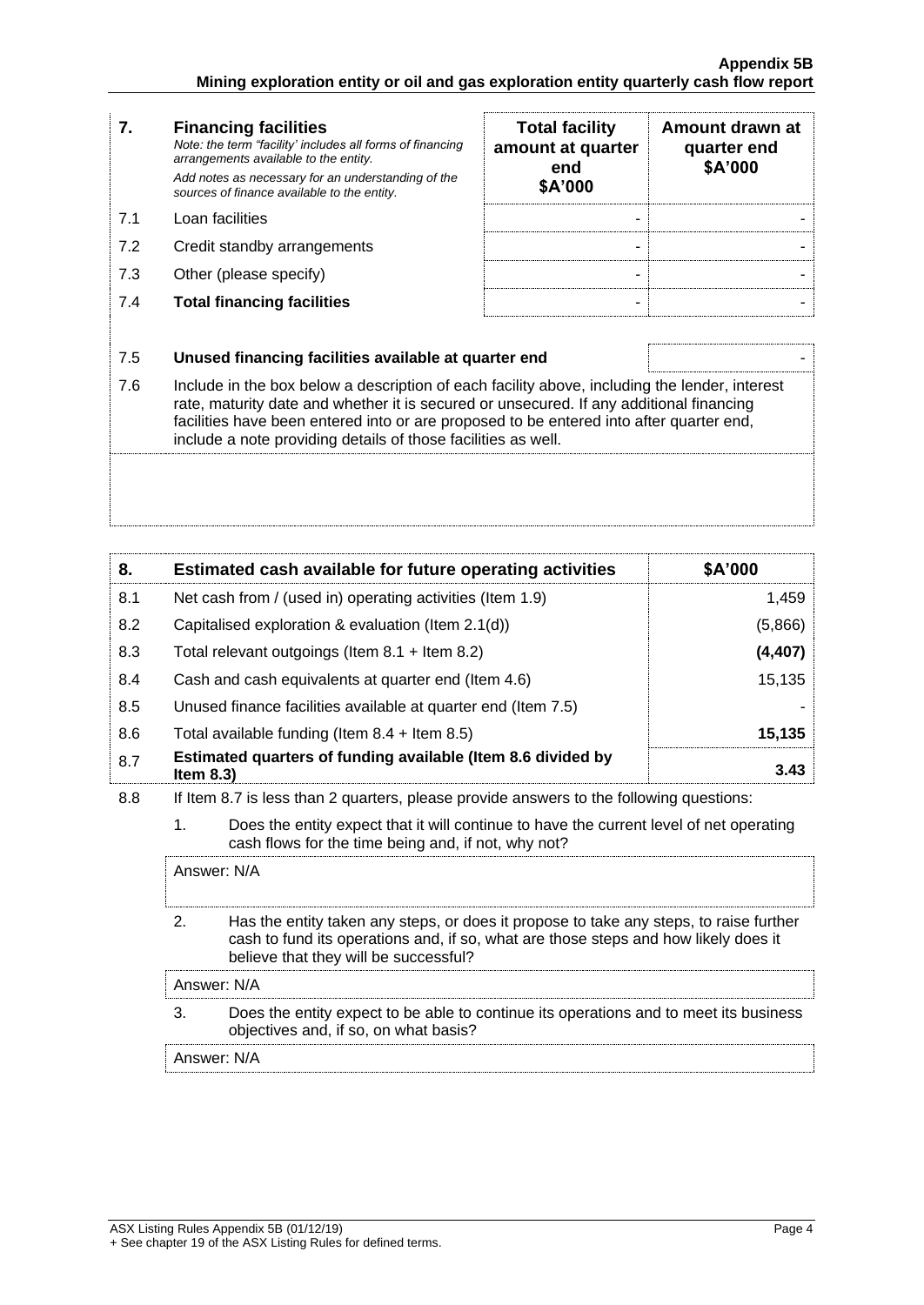| 7.  | <b>Financing facilities</b><br>Note: the term "facility' includes all forms of financing<br>arrangements available to the entity.<br>Add notes as necessary for an understanding of the<br>sources of finance available to the entity.                                                                                                               | <b>Total facility</b><br>amount at quarter<br>end<br>\$A'000 | Amount drawn at<br>quarter end<br>\$A'000 |
|-----|------------------------------------------------------------------------------------------------------------------------------------------------------------------------------------------------------------------------------------------------------------------------------------------------------------------------------------------------------|--------------------------------------------------------------|-------------------------------------------|
| 7.1 | Loan facilities                                                                                                                                                                                                                                                                                                                                      |                                                              |                                           |
| 7.2 | Credit standby arrangements                                                                                                                                                                                                                                                                                                                          |                                                              |                                           |
| 7.3 | Other (please specify)                                                                                                                                                                                                                                                                                                                               |                                                              |                                           |
| 7.4 | <b>Total financing facilities</b>                                                                                                                                                                                                                                                                                                                    |                                                              |                                           |
|     |                                                                                                                                                                                                                                                                                                                                                      |                                                              |                                           |
| 7.5 | Unused financing facilities available at quarter end                                                                                                                                                                                                                                                                                                 |                                                              |                                           |
| 7.6 | Include in the box below a description of each facility above, including the lender, interest<br>rate, maturity date and whether it is secured or unsecured. If any additional financing<br>facilities have been entered into or are proposed to be entered into after quarter end,<br>include a note providing details of those facilities as well. |                                                              |                                           |
|     |                                                                                                                                                                                                                                                                                                                                                      |                                                              |                                           |

| 8.  | Estimated cash available for future operating activities                     | \$A'000 |
|-----|------------------------------------------------------------------------------|---------|
| 8.1 | Net cash from / (used in) operating activities (Item 1.9)                    | 1.459   |
| 8.2 | Capitalised exploration & evaluation (Item 2.1(d))                           | (5,866) |
| 8.3 | Total relevant outgoings (Item $8.1 +$ Item $8.2$ )                          | (4,407) |
| 8.4 | Cash and cash equivalents at quarter end (Item 4.6)                          | 15,135  |
| 8.5 | Unused finance facilities available at quarter end (Item 7.5)                |         |
| 8.6 | Total available funding (Item $8.4 +$ Item $8.5$ )                           | 15,135  |
| 8.7 | Estimated quarters of funding available (Item 8.6 divided by<br>Item $8.3$ ) | 3.43    |

8.8 If Item 8.7 is less than 2 quarters, please provide answers to the following questions:

1. Does the entity expect that it will continue to have the current level of net operating cash flows for the time being and, if not, why not?

| Answer: N/A                                                                                                                                                                                                            |
|------------------------------------------------------------------------------------------------------------------------------------------------------------------------------------------------------------------------|
| Has the entity taken any steps, or does it propose to take any steps, to raise further<br>cash to fund its operations and, if so, what are those steps and how likely does it<br>believe that they will be successful? |
| Answer: N/A                                                                                                                                                                                                            |
| Does the entity expect to be able to continue its operations and to meet its business<br>objectives and, if so, on what basis?                                                                                         |
| Answer: N/A                                                                                                                                                                                                            |